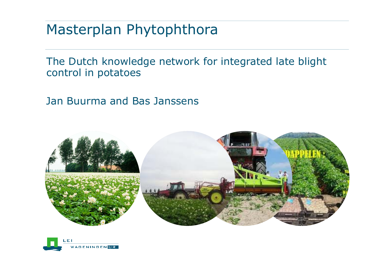### Masterplan Phytophthora

The Dutch knowledge network for integrated late blight control in potatoes

Jan Buurma and Bas Janssens



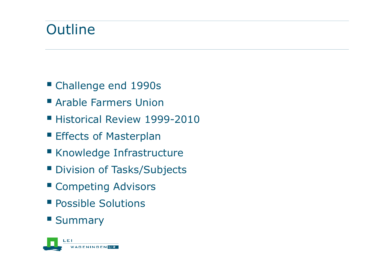# **Outline**

- Challenge end 1990s
- Arable Farmers Union
- **Historical Review 1999-2010**
- **Effects of Masterplan**
- Knowledge Infrastructure
- **Division of Tasks/Subjects**
- **E Competing Advisors**
- **Possible Solutions**

#### **Summary**

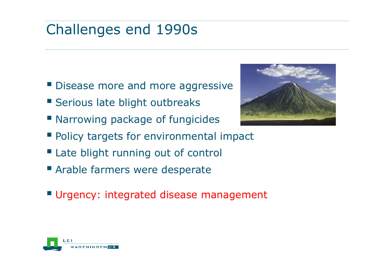# Challenges end 1990s

- Disease more and more aggressive
- **Serious late blight outbreaks**
- **Narrowing package of fungicides**
- **Policy targets for environmental impact**
- **Late blight running out of control**
- Arable farmers were desperate
- **Urgency: integrated disease management**



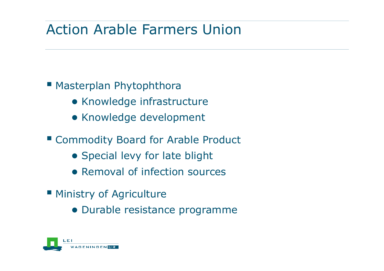# Action Arable Farmers Union

#### **Masterplan Phytophthora**

- Knowledge infrastructure
- Knowledge development
- Commodity Board for Arable Product
	- Special levy for late blight
	- Removal of infection sources
- **Ministry of Agriculture** 
	- Durable resistance programme

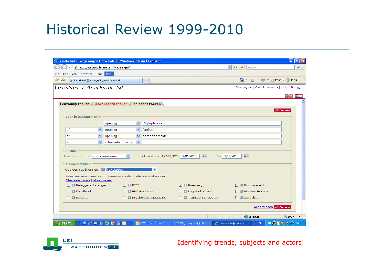### Historical Review 1999-2010

|                                                                   |                                               | C LexisNexis® - Wageningen Universiteit - Windows Internet Explorer |                                                           |                                                     |              |
|-------------------------------------------------------------------|-----------------------------------------------|---------------------------------------------------------------------|-----------------------------------------------------------|-----------------------------------------------------|--------------|
| $\epsilon$ http://academic.lexisnexis.nl/wageningen/              |                                               |                                                                     | $\vee$ $\left  \bigstar \right $ $\times$ $\left $ Google |                                                     |              |
| Favorites Tools Help<br><b>View</b><br>Edit                       |                                               |                                                                     |                                                           |                                                     |              |
| 48<br>€ LexisNexis® - Wageningen Universiteit                     |                                               |                                                                     |                                                           | ■ Brage Or Tools ▼<br>$\mathbb{C}$ - $\mathbb{R}$ - |              |
| LexisNexis <sup>®</sup> Academic NL                               |                                               |                                                                     |                                                           | Startpagina   Over LexisNexis   Help   Uitloggen    |              |
|                                                                   |                                               |                                                                     |                                                           |                                                     | ¥≼           |
| Eenvoudig zoeken Geavanceerd zoeken Booleaans zoeken              |                                               |                                                                     |                                                           |                                                     |              |
|                                                                   |                                               |                                                                     |                                                           |                                                     | $\wp$ Zoeken |
| Voer je zoektermen in                                             |                                               |                                                                     |                                                           |                                                     |              |
|                                                                   | ×.<br>opening                                 | Phytophthora                                                        |                                                           |                                                     |              |
| of                                                                | opening<br>×                                  | fytoftora                                                           |                                                           |                                                     |              |
| of<br>$\checkmark$                                                | $\checkmark$<br>opening                       | aardappelziekte                                                     |                                                           |                                                     |              |
| $\checkmark$<br>en                                                | in het hele document $\vert \mathbf{v} \vert$ |                                                                     |                                                           |                                                     |              |
|                                                                   |                                               |                                                                     |                                                           |                                                     |              |
| <b>Datum</b><br>Kies een periode maak een keuze                   | $\checkmark$                                  | of zoek vanaf (D/M/JJJJ) 01/01/2010                                 | $\boxed{1}$<br>t/m 31/12/2010                             | $\mathbb{E}$                                        |              |
|                                                                   |                                               |                                                                     |                                                           |                                                     |              |
| <b>Nieuwsbronnen</b><br>Kies een set bronnen: <b>El vakbladen</b> |                                               |                                                                     |                                                           |                                                     |              |
| Selecteer eventueel één of meerdere individuele nieuwsbronnen:    |                                               |                                                                     |                                                           |                                                     |              |
| Alles selecteren   alles wissen                                   |                                               |                                                                     |                                                           |                                                     |              |
|                                                                   |                                               |                                                                     |                                                           |                                                     |              |
| <b>D</b> Beleggers Belangen                                       | $\Box$ BIZZ                                   |                                                                     | <b>☑ <i>B</i></b> Boerderij                               | <b>N</b> Bouwwereld                                 |              |
| $\Box$ <b>Distrifood</b>                                          | $\Box$ El FEM Business                        |                                                                     | $\Box$ Logistiek Krant                                    | □ ■ Missets Horeca                                  |              |
| $\Box$ <b>El</b> Pakblad                                          |                                               | <b>D B</b> Psychologie Magazine                                     | <b>T</b> El Transport & Opslag                            | $\Box$ El Zorgvisie                                 |              |
|                                                                   |                                               |                                                                     |                                                           |                                                     |              |
|                                                                   |                                               |                                                                     |                                                           | Alles wissen P Zoeken                               |              |



Identifying trends, subjects and actors!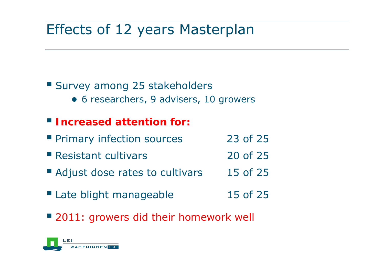# Effects of 12 years Masterplan

#### Survey among 25 stakeholders

● 6 researchers, 9 advisers, 10 growers

#### **Increased attention for:**

- **Primary infection sources** 23 of 25
- **Resistant cultivars** 20 of 25
- Adjust dose rates to cultivars 15 of 25
- Late blight manageable 15 of 25
- 2011: growers did their homework well

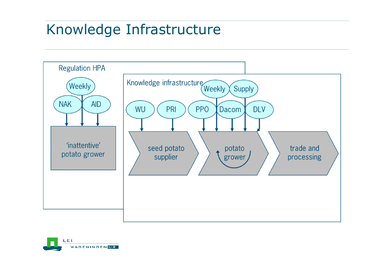## Knowledge Infrastructure



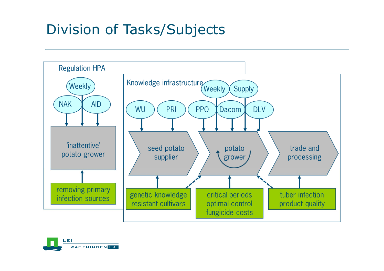## Division of Tasks/Subjects



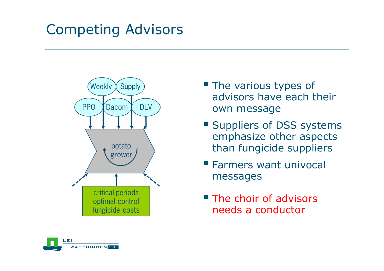### Competing Advisors



- **The various types of** advisors have each their own message
- **Suppliers of DSS systems** emphasize other aspects than fungicide suppliers
- **Farmers want univocal** messages
- **The choir of advisors** needs a conductor

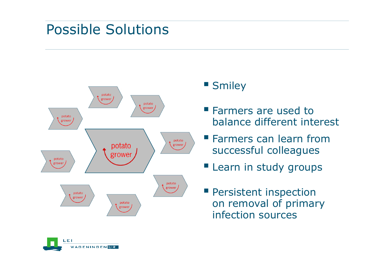### Possible Solutions



#### **Smiley**

- **Farmers are used to** balance different interest
- **Farmers can learn from** successful colleagues
- **Learn in study groups**
- **Persistent inspection** on removal of primary infection sources

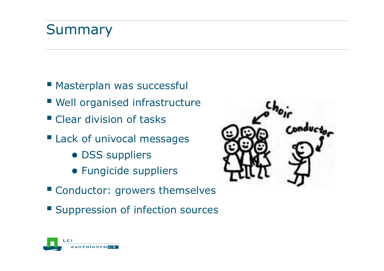# Summary

- **Masterplan was successfull**
- Well organised infrastructure
- **Clear division of tasks**
- **Lack of univocal messages** 
	- DSS suppliers
	- Fungicide suppliers
- **Conductor: growers themselves**
- **Suppression of infection sources**